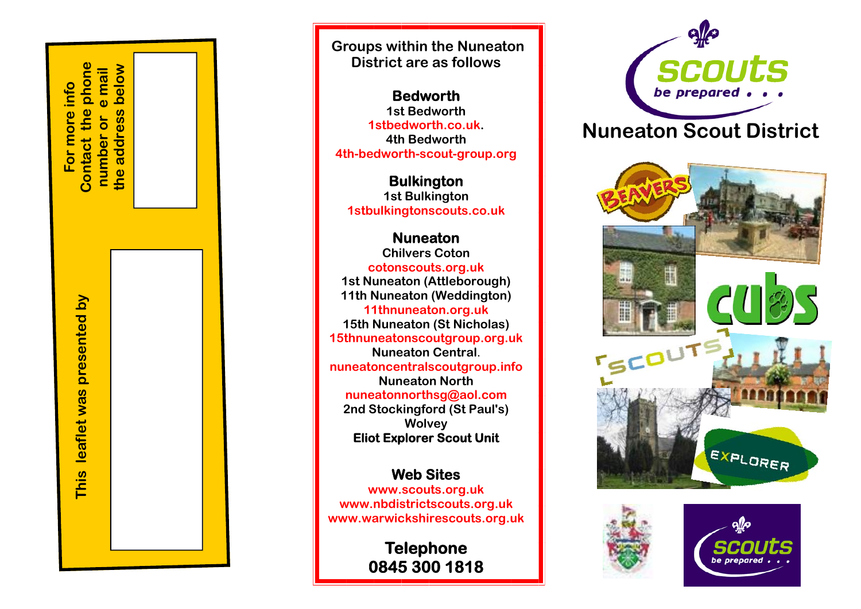**Contact the phone**  below **the address below**  Contact the phone mail **number or e mail For more info**  For more info  $\omega$ the address  $\sigma$ number

> **This leaflet was presented by** presented by leaflet was This

 **Groups within the Nuneaton District are as follows** 

**Bedworth 1st Bedworth 1stbedworth.co.uk. 4th Bedworth 4th-bedworth-scout-group.org**

**Bulkington 1st Bulkington 1stbulkingtonscouts.co.uk** 

**Nuneaton Chilvers Coton cotonscouts.org.uk 1st Nuneaton (Attleborough) 11th Nuneaton (Weddington) 11thnuneaton.org.uk 15th Nuneaton (St Nicholas) 15thnuneatonscoutgroup.org.uk Nuneaton Central**. **nuneatoncentralscoutgroup.info Nuneaton North nuneatonnorthsg@aol.com 2nd Stockingford (St Paul's) Wolvey Eliot Explorer Scout Unit** 

**Web Sites www.scouts.org.uk www.nbdistrictscouts.org.uk www.warwickshirescouts.org.uk** 

> **Telephone 0845 300 1818**



## **Nuneaton Scout District**